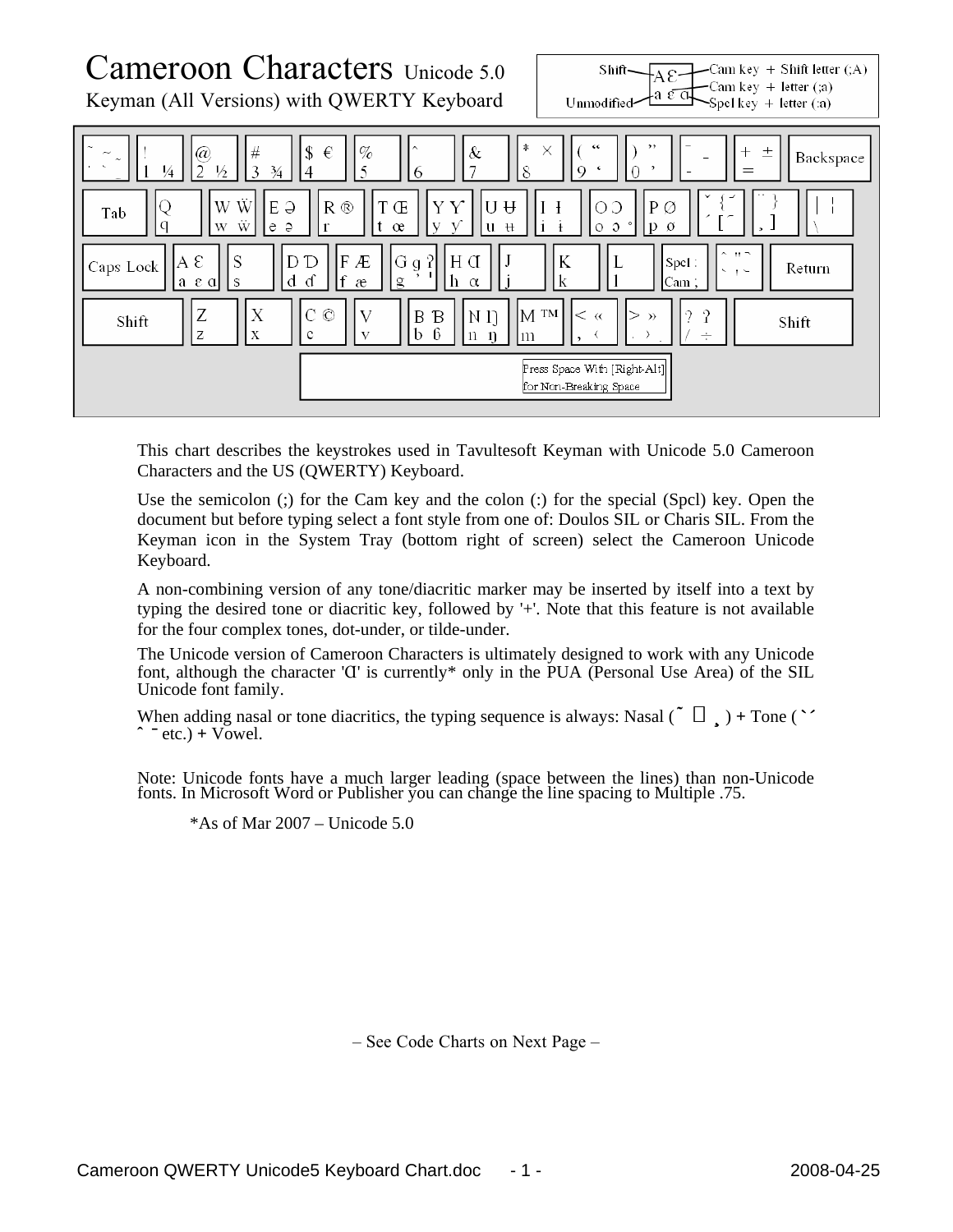

This chart describes the keystrokes used in Tavultesoft Keyman with Unicode 5.0 Cameroon Characters and the US (QWERTY) Keyboard.

Use the semicolon (;) for the Cam key and the colon (:) for the special (Spcl) key. Open the document but before typing select a font style from one of: Doulos SIL or Charis SIL. From the Keyman icon in the System Tray (bottom right of screen) select the Cameroon Unicode Keyboard.

A non-combining version of any tone/diacritic marker may be inserted by itself into a text by typing the desired tone or diacritic key, followed by '+'. Note that this feature is not available for the four complex tones, dot-under, or tilde-under.

The Unicode version of Cameroon Characters is ultimately designed to work with any Unicode font, although the character ' $U'$  is currently\* only in the PUA (Personal Use Area) of the SIL Unicode font family.

When adding nasal or tone diacritics, the typing sequence is always: Nasal  $(\tilde{\ })$   $) +$  Tone  $(\tilde{\ })$  $\hat{i}$   $\bar{j}$  = etc.) + Vowel.

Note: Unicode fonts have a much larger leading (space between the lines) than non-Unicode fonts. In Microsoft Word or Publisher you can change the line spacing to Multiple .75.

 $*As$  of Mar 2007 – Unicode 5.0

– See Code Charts on Next Page –